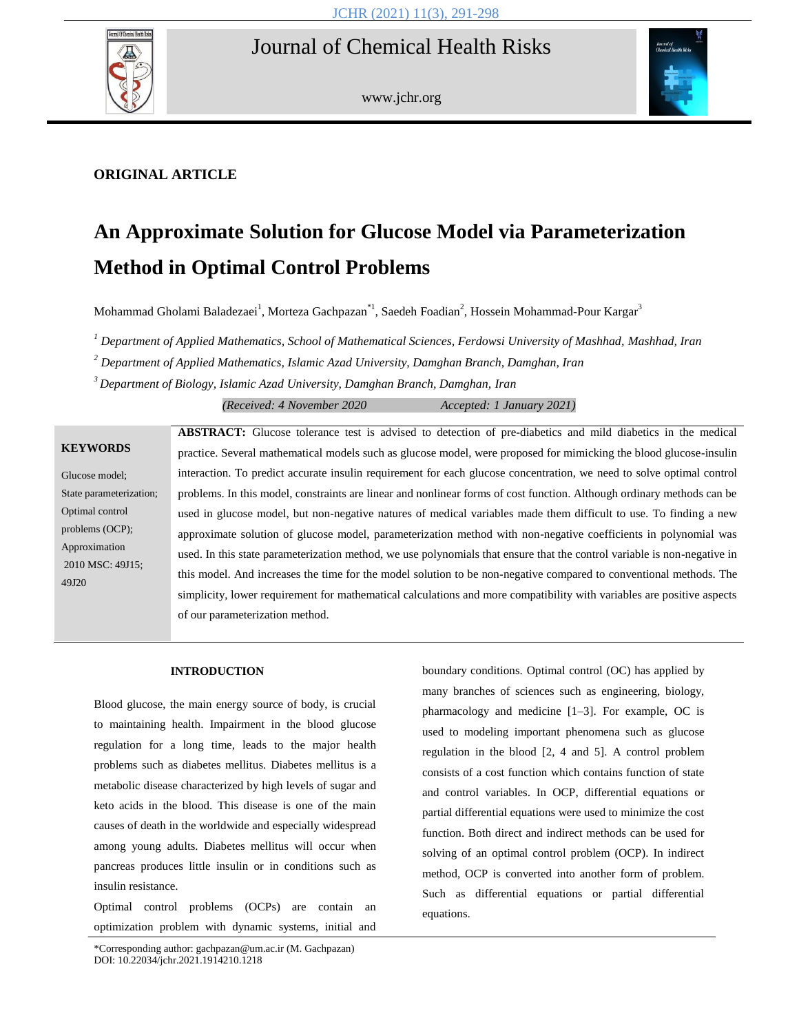# Journal of Chemical Health Risks



www.jchr.org



# **ORIGINAL ARTICLE**

# **An Approximate Solution for Glucose Model via Parameterization Method in Optimal Control Problems**

Mohammad Gholami Baladezaei<sup>1</sup>, Morteza Gachpazan\*<sup>1</sup>, Saedeh Foadian<sup>2</sup>, Hossein Mohammad-Pour Kargar<sup>3</sup>

*<sup>1</sup> Department of Applied Mathematics, School of Mathematical Sciences, Ferdowsi University of Mashhad, Mashhad, Iran*

*<sup>2</sup> Department of Applied Mathematics, Islamic Azad University, Damghan Branch, Damghan, Iran*

*<sup>3</sup>Department of Biology, Islamic Azad University, Damghan Branch, Damghan, Iran*

*(Received: 4 November 2020 Accepted: 1 January 2021)*

# **KEYWORDS**

Glucose model; State parameterization; Optimal control problems (OCP); Approximation 2010 MSC: 49J15; 49J20

**ABSTRACT:** Glucose tolerance test is advised to detection of pre-diabetics and mild diabetics in the medical practice. Several mathematical models such as glucose model, were proposed for mimicking the blood glucose-insulin interaction. To predict accurate insulin requirement for each glucose concentration, we need to solve optimal control problems. In this model, constraints are linear and nonlinear forms of cost function. Although ordinary methods can be used in glucose model, but non-negative natures of medical variables made them difficult to use. To finding a new approximate solution of glucose model, parameterization method with non-negative coefficients in polynomial was used. In this state parameterization method, we use polynomials that ensure that the control variable is non-negative in this model. And increases the time for the model solution to be non-negative compared to conventional methods. The simplicity, lower requirement for mathematical calculations and more compatibility with variables are positive aspects of our parameterization method.

#### **INTRODUCTION**

Blood glucose, the main energy source of body, is crucial to maintaining health. Impairment in the blood glucose regulation for a long time, leads to the major health problems such as diabetes mellitus. Diabetes mellitus is a metabolic disease characterized by high levels of sugar and keto acids in the blood. This disease is one of the main causes of death in the worldwide and especially widespread among young adults. Diabetes mellitus will occur when pancreas produces little insulin or in conditions such as insulin resistance.

Optimal control problems (OCPs) are contain an optimization problem with dynamic systems, initial and

boundary conditions. Optimal control (OC) has applied by many branches of sciences such as engineering, biology, pharmacology and medicine [1–3]. For example, OC is used to modeling important phenomena such as glucose regulation in the blood [2, 4 and 5]. A control problem consists of a cost function which contains function of state and control variables. In OCP, differential equations or partial differential equations were used to minimize the cost function. Both direct and indirect methods can be used for solving of an optimal control problem (OCP). In indirect method, OCP is converted into another form of problem. Such as differential equations or partial differential equations.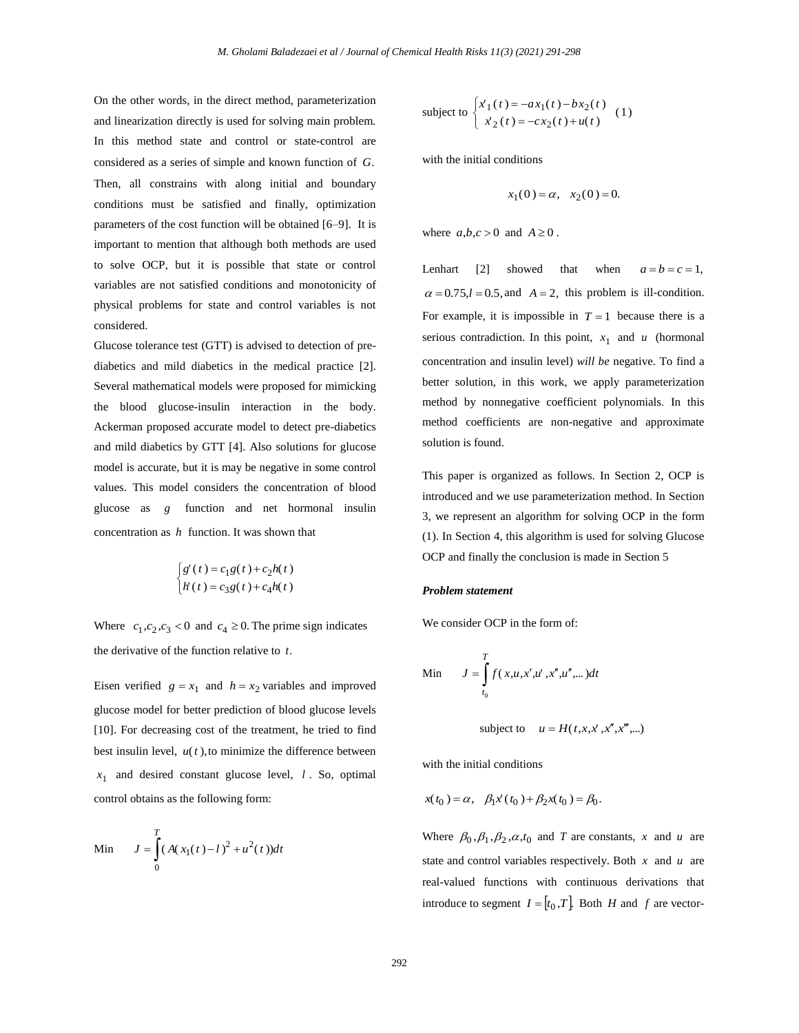On the other words, in the direct method, parameterization and linearization directly is used for solving main problem. In this method state and control or state-control are considered as a series of simple and known function of *G*. Then, all constrains with along initial and boundary conditions must be satisfied and finally, optimization parameters of the cost function will be obtained [6–9]. It is important to mention that although both methods are used to solve OCP, but it is possible that state or control variables are not satisfied conditions and monotonicity of physical problems for state and control variables is not considered.

Glucose tolerance test (GTT) is advised to detection of prediabetics and mild diabetics in the medical practice [2]. Several mathematical models were proposed for mimicking the blood glucose-insulin interaction in the body. Ackerman proposed accurate model to detect pre-diabetics and mild diabetics by GTT [4]. Also solutions for glucose model is accurate, but it is may be negative in some control values. This model considers the concentration of blood glucose as *g* function and net hormonal insulin concentration as *h* function. It was shown that

$$
\begin{cases}\ng'(t) = c_1 g(t) + c_2 h(t) \\
h'(t) = c_3 g(t) + c_4 h(t)\n\end{cases}
$$

Where  $c_1, c_2, c_3 < 0$  and  $c_4 \ge 0$ . The prime sign indicates the derivative of the function relative to *t*.

Eisen verified  $g = x_1$  and  $h = x_2$  variables and improved glucose model for better prediction of blood glucose levels [10]. For decreasing cost of the treatment, he tried to find best insulin level,  $u(t)$ , to minimize the difference between 1 *x* and desired constant glucose level, *l* . So, optimal control obtains as the following form:

Min 
$$
J = \int_{0}^{T} (A(x_1(t) - l)^2 + u^2(t))dt
$$

subject to 
$$
\begin{cases} x_1(t) = -ax_1(t) - bx_2(t) \\ x_2(t) = -cx_2(t) + u(t) \end{cases}
$$
 (1)

with the initial conditions

$$
x_1(0) = \alpha, \quad x_2(0) = 0.
$$

where  $a,b,c>0$  and  $A \ge 0$ .

Lenhart [2] showed that when  $a = b = c = 1$ ,  $\alpha = 0.75, l = 0.5, \text{ and } A = 2, \text{ this problem is ill-condition.}$ For example, it is impossible in  $T = 1$  because there is a serious contradiction. In this point,  $x_1$  and  $u$  (hormonal concentration and insulin level) *will be* negative. To find a better solution, in this work, we apply parameterization method by nonnegative coefficient polynomials. In this method coefficients are non-negative and approximate solution is found.

This paper is organized as follows. In Section 2, OCP is introduced and we use parameterization method. In Section 3, we represent an algorithm for solving OCP in the form (1). In Section 4, this algorithm is used for solving Glucose OCP and finally the conclusion is made in Section 5

#### *Problem statement*

We consider OCP in the form of:

Min 
$$
J = \int_{t_0}^{T} f(x, u, x', u', x'', u''', \dots) dt
$$

subject to  $u = H(t, x, x', x'', x''', ...)$ 

with the initial conditions

$$
x(t_0) = \alpha, \quad \beta_1 x'(t_0) + \beta_2 x(t_0) = \beta_0.
$$

Where  $\beta_0$ ,  $\beta_1$ ,  $\beta_2$ ,  $\alpha$ ,  $t_0$  and *T* are constants, *x* and *u* are state and control variables respectively. Both *x* and *u* are real-valued functions with continuous derivations that introduce to segment  $I = [t_0, T]$ . Both *H* and *f* are vector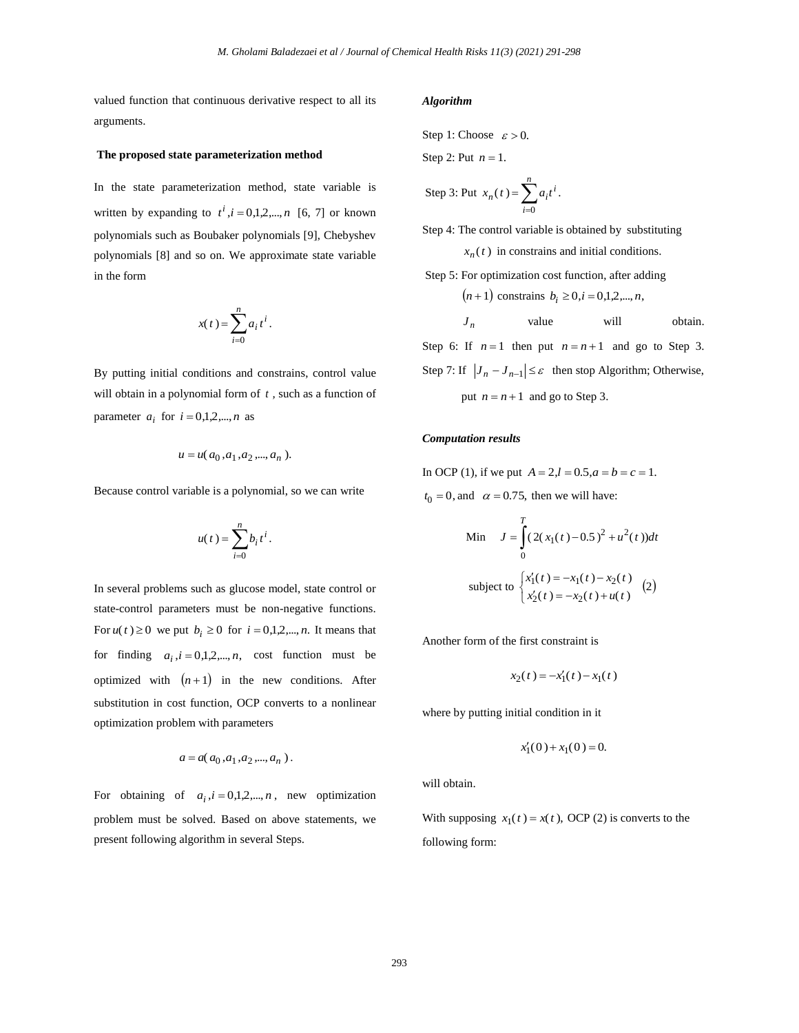valued function that continuous derivative respect to all its arguments.

#### **The proposed state parameterization method**

In the state parameterization method, state variable is written by expanding to  $t^i$ ,  $i = 0,1,2,...,n$  [6, 7] or known polynomials such as Boubaker polynomials [9], Chebyshev polynomials [8] and so on. We approximate state variable in the form

$$
x(t) = \sum_{i=0}^{n} a_i t^i.
$$

By putting initial conditions and constrains, control value will obtain in a polynomial form of *t ,* such as a function of parameter  $a_i$  for  $i = 0,1,2,...,n$  as

$$
u = u(a_0, a_1, a_2, \dots, a_n).
$$

Because control variable is a polynomial, so we can write

$$
u(t) = \sum_{i=0}^n b_i t^i.
$$

In several problems such as glucose model, state control or state-control parameters must be non-negative functions. For  $u(t) \ge 0$  we put  $b_i \ge 0$  for  $i = 0,1,2,...,n$ . It means that for finding  $a_i$ ,  $i = 0,1,2,...,n$ , cost function must be optimized with  $(n+1)$  in the new conditions. After substitution in cost function, OCP converts to a nonlinear optimization problem with parameters

$$
a=a(\,a_0\,,\!a_1\,,\!a_2\,,\!...,a_n\,)\,.
$$

For obtaining of  $a_i$ ,  $i = 0,1,2,...,n$ , new optimization problem must be solved. Based on above statements, we present following algorithm in several Steps.

## *Algorithm*

Step 1: Choose  $\varepsilon > 0$ .

Step 2: Put  $n = 1$ .

Step 3: Put 
$$
x_n(t) = \sum_{i=0}^n a_i t^i
$$
.

Step 4: The control variable is obtained by substituting

 $x_n(t)$  in constrains and initial conditions.

Step 5: For optimization cost function, after adding

$$
(n+1)
$$
 constrains  $b_i \ge 0, i = 0,1,2,...,n$ ,

 *<sup>n</sup> J* value will obtain.

Step 6: If  $n=1$  then put  $n=n+1$  and go to Step 3. Step 7: If  $|J_n - J_{n-1}| \leq \varepsilon$  then stop Algorithm; Otherwise, put  $n = n + 1$  and go to Step 3.

## *Computation results*

In OCP (1), if we put  $A = 2, l = 0.5, a = b = c = 1$ .  $t_0 = 0$ , and  $\alpha = 0.75$ , then we will have:

Min 
$$
J = \int_{0}^{T} (2(x_1(t) - 0.5)^2 + u^2(t))dt
$$
  
subject to 
$$
\begin{cases} x'_1(t) = -x_1(t) - x_2(t) \\ x'_2(t) = -x_2(t) + u(t) \end{cases}
$$
 (2)

Another form of the first constraint is

$$
x_2(t) = -x'_1(t) - x_1(t)
$$

where by putting initial condition in it

$$
x_1'(0) + x_1(0) = 0.
$$

will obtain.

With supposing  $x_1(t) = x(t)$ , OCP (2) is converts to the following form: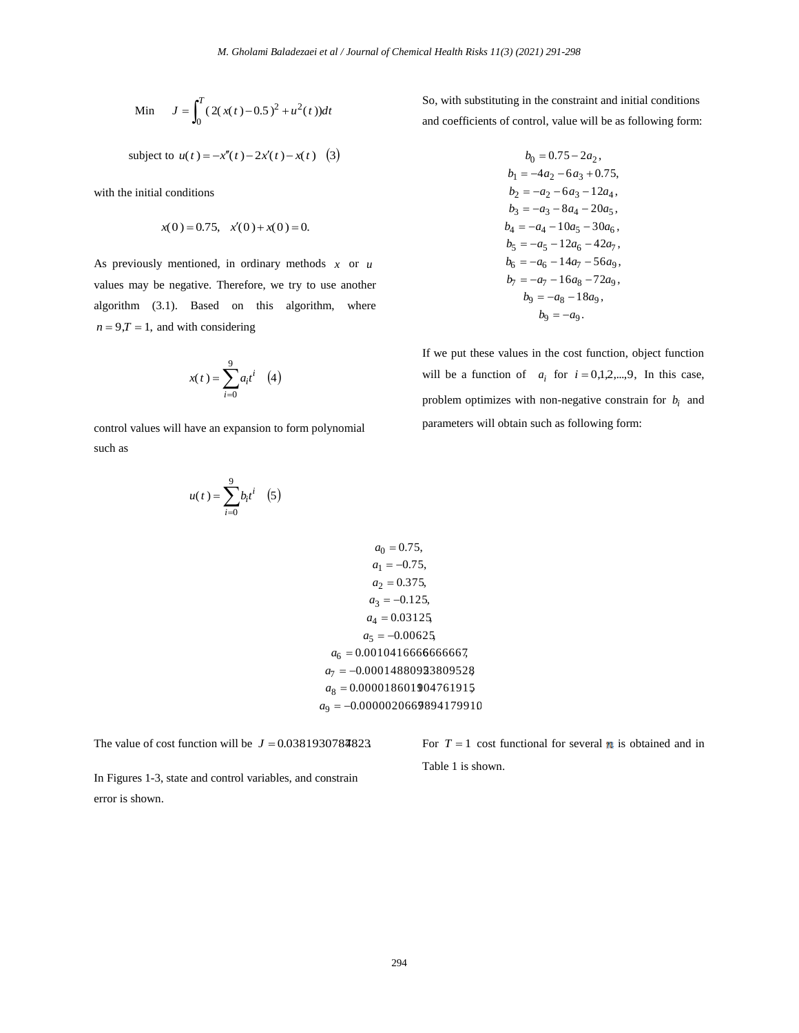Min 
$$
J = \int_0^T (2(x(t) - 0.5)^2 + u^2(t))dt
$$

subject to  $u(t) = -x''(t) - 2x'(t) - x(t)$  (3)

with the initial conditions

$$
x(0) = 0.75, \quad x'(0) + x(0) = 0.
$$

As previously mentioned, in ordinary methods *x* or *u* values may be negative. Therefore, we try to use another algorithm (3.1). Based on this algorithm, where  $n = 9, T = 1$ , and with considering

$$
x(t) = \sum_{i=0}^{9} a_i t^i \quad (4)
$$

control values will have an expansion to form polynomial such as

$$
u(t) = \sum_{i=0}^{9} b_i t^i \quad (5)
$$

So, with substituting in the constraint and initial conditions and coefficients of control, value will be as following form:

$$
b_0 = 0.75 - 2a_2,
$$
  
\n
$$
b_1 = -4a_2 - 6a_3 + 0.75,
$$
  
\n
$$
b_2 = -a_2 - 6a_3 - 12a_4,
$$
  
\n
$$
b_3 = -a_3 - 8a_4 - 20a_5,
$$
  
\n
$$
b_4 = -a_4 - 10a_5 - 30a_6,
$$
  
\n
$$
b_5 = -a_5 - 12a_6 - 42a_7,
$$
  
\n
$$
b_6 = -a_6 - 14a_7 - 56a_9,
$$
  
\n
$$
b_7 = -a_7 - 16a_8 - 72a_9,
$$
  
\n
$$
b_8 = -a_8 - 18a_9,
$$
  
\n
$$
b_9 = -a_9.
$$

If we put these values in the cost function, object function will be a function of  $a_i$  for  $i = 0,1,2,...,9$ , In this case, problem optimizes with non-negative constrain for  $b_i$  and parameters will obtain such as following form:

 $a_9 = -0.0000020669894179910$  $a_8 = 0.000018601904761915$  $a_7 = -0.00014880923809528$  $a_6 = 0.001041666666667,$  $a_5 = -0.00625$  $a_4 = 0.03125$  $a_3 = -0.125$ ,  $a_2 = 0.375$ ,  $a_1 = -0.75$ ,  $a_0 = 0.75$ ,

The value of cost function will be  $J = 0.0381930784823$ .

In Figures 1-3, state and control variables, and constrain error is shown.

For  $T = 1$  cost functional for several **n** is obtained and in Table 1 is shown.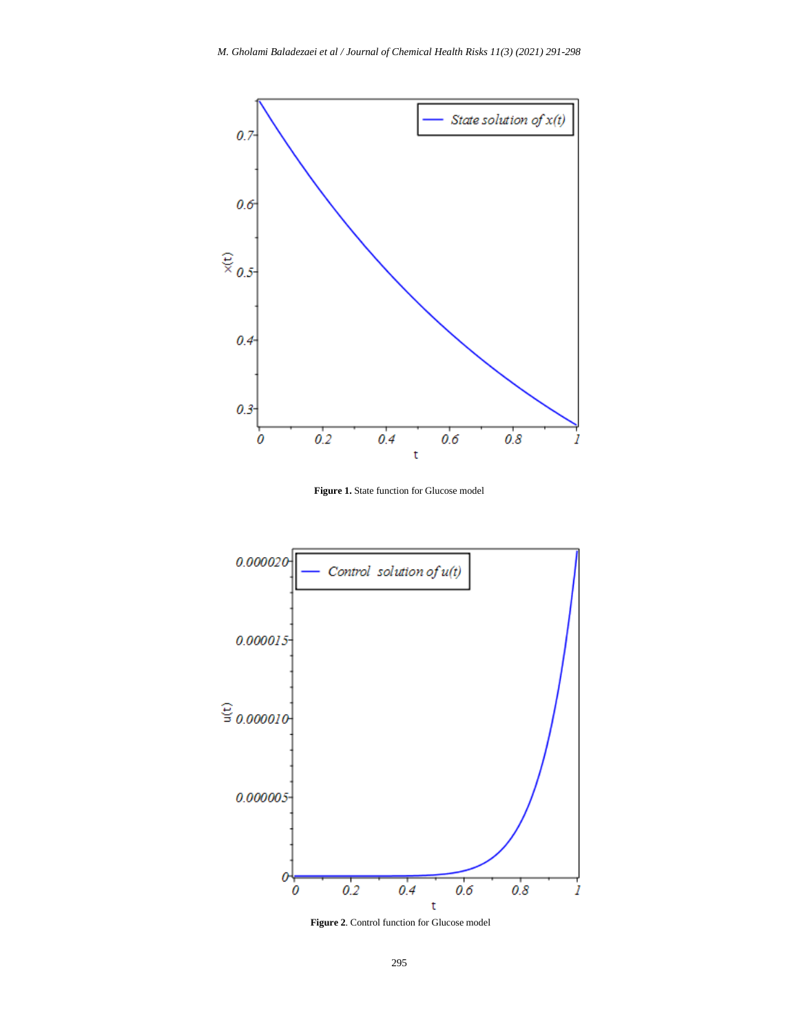

**Figure 1.** State function for Glucose model



**Figure 2**. Control function for Glucose model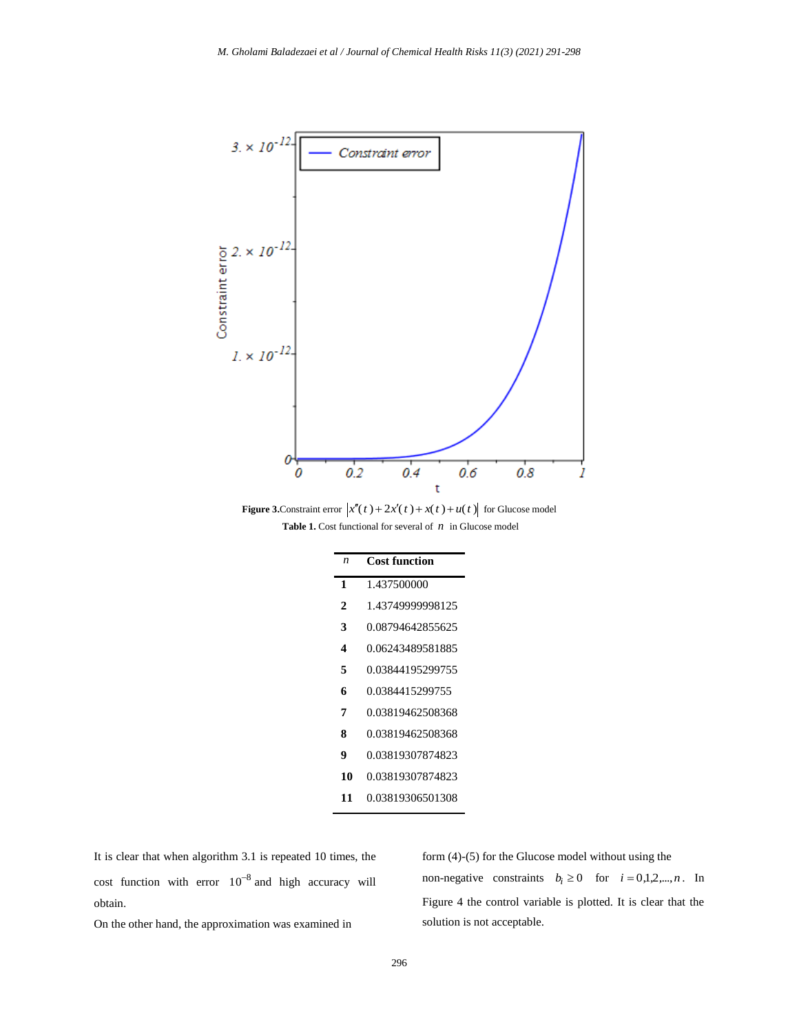

**Figure 3.** Constraint error  $\left| x''(t) + 2x'(t) + x(t) + u(t) \right|$  for Glucose model **Table 1.** Cost functional for several of  $n$  in Glucose model

| $\boldsymbol{n}$ | <b>Cost function</b> |
|------------------|----------------------|
| 1                | 1.437500000          |
| 2                | 1.43749999998125     |
| 3                | 0.08794642855625     |
| 4                | 0.06243489581885     |
| 5                | 0.03844195299755     |
| 6                | 0.0384415299755      |
| 7                | 0.03819462508368     |
| 8                | 0.03819462508368     |
| 9                | 0.03819307874823     |
| 10               | 0.03819307874823     |
| 11               | 0.03819306501308     |

It is clear that when algorithm 3.1 is repeated 10 times, the cost function with error  $10^{-8}$  and high accuracy will obtain.

On the other hand, the approximation was examined in

form (4)-(5) for the Glucose model without using the non-negative constraints  $b_i \ge 0$  for  $i = 0,1,2,...,n$ . In Figure 4 the control variable is plotted. It is clear that the solution is not acceptable.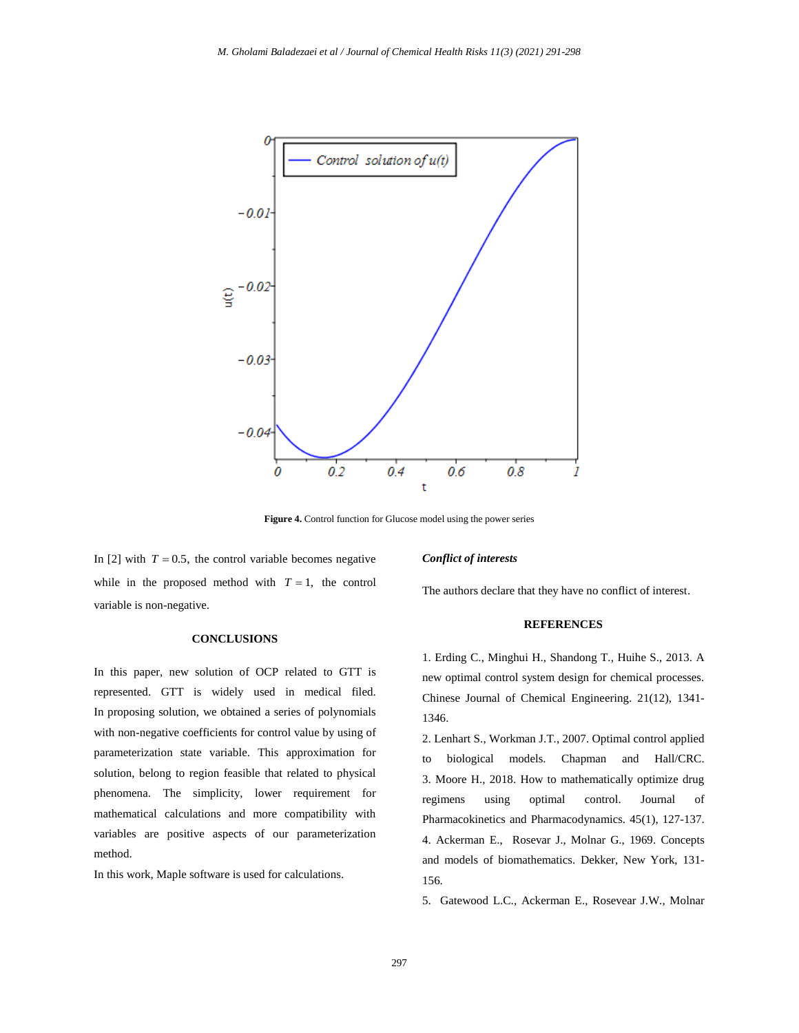

**Figure 4.** Control function for Glucose model using the power series

In [2] with  $T = 0.5$ , the control variable becomes negative while in the proposed method with  $T = 1$ , the control variable is non-negative.

# **CONCLUSIONS**

In this paper, new solution of OCP related to GTT is represented. GTT is widely used in medical filed. In proposing solution, we obtained a series of polynomials with non-negative coefficients for control value by using of parameterization state variable. This approximation for solution, belong to region feasible that related to physical phenomena. The simplicity, lower requirement for mathematical calculations and more compatibility with variables are positive aspects of our parameterization method.

In this work, Maple software is used for calculations.

### *Conflict of interests*

The authors declare that they have no conflict of interest.

## **REFERENCES**

1. Erding C., Minghui H., Shandong T., Huihe S., 2013. A new optimal control system design for chemical processes. Chinese Journal of Chemical Engineering. 21(12), 1341- 1346.

2. Lenhart S., Workman J.T., 2007. Optimal control applied to biological models. Chapman and Hall/CRC. 3. Moore H., 2018. How to mathematically optimize drug regimens using optimal control. Journal of Pharmacokinetics and Pharmacodynamics. 45(1), 127-137. 4. Ackerman E., Rosevar J., Molnar G., 1969. Concepts and models of biomathematics. Dekker, New York, 131- 156.

5. Gatewood L.C., Ackerman E., Rosevear J.W., Molnar